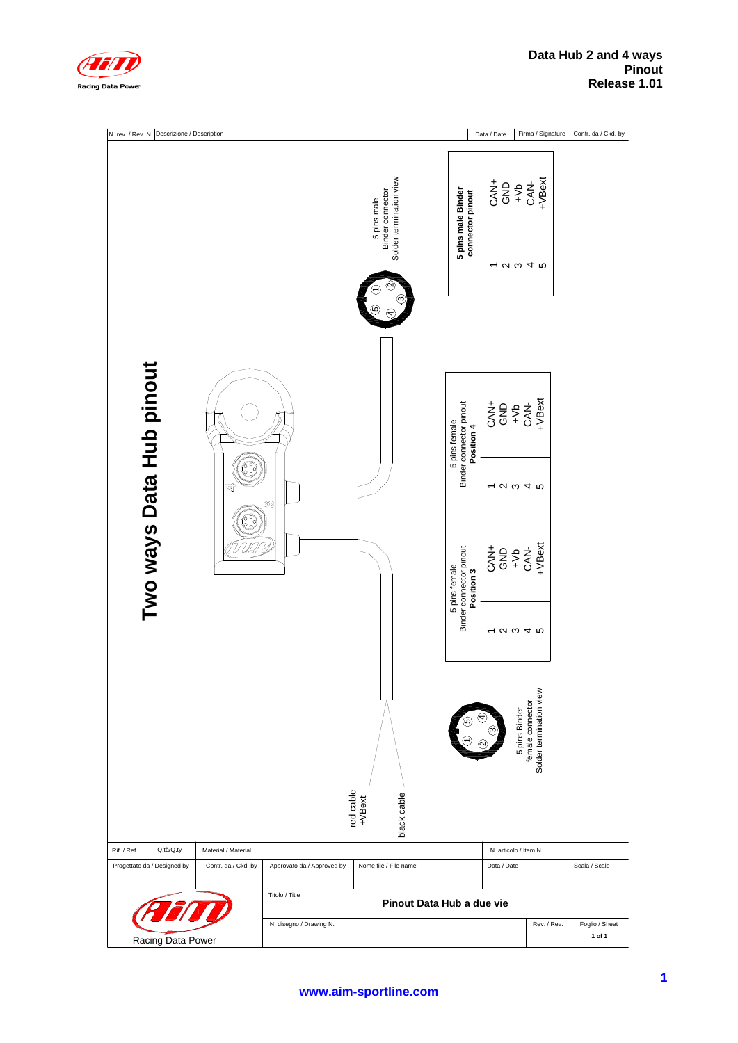